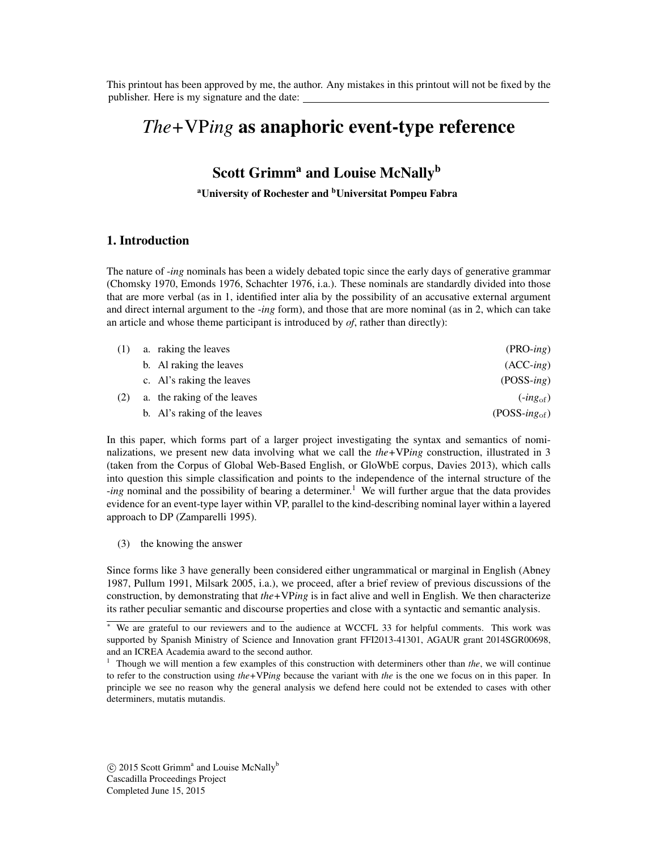This printout has been approved by me, the author. Any mistakes in this printout will not be fixed by the publisher. Here is my signature and the date:

# *The+*VP*ing* as anaphoric event-type reference

# Scott Grimm<sup>a</sup> and Louise McNally<sup>b</sup>

<sup>a</sup>University of Rochester and <sup>b</sup>Universitat Pompeu Fabra

#### 1. Introduction

The nature of -*ing* nominals has been a widely debated topic since the early days of generative grammar [\(Chomsky 1970,](#page-7-0) [Emonds 1976,](#page-7-1) [Schachter 1976,](#page-8-0) i.a.). These nominals are standardly divided into those that are more verbal (as in [1,](#page-0-0) identified inter alia by the possibility of an accusative external argument and direct internal argument to the -*ing* form), and those that are more nominal (as in [2,](#page-0-1) which can take an article and whose theme participant is introduced by *of*, rather than directly):

<span id="page-0-4"></span><span id="page-0-1"></span><span id="page-0-0"></span>

| (1) | a. raking the leaves         | $(PRO-ing)$       |
|-----|------------------------------|-------------------|
|     | b. Al raking the leaves      | $(ACC-ing)$       |
|     | c. Al's raking the leaves    | $(POSS-ing)$      |
| (2) | a. the raking of the leaves  | $(-ing_{of})$     |
|     | b. Al's raking of the leaves | $(POSS-ing_{of})$ |

In this paper, which forms part of a larger project investigating the syntax and semantics of nominalizations, we present new data involving what we call the *the+*VP*ing* construction, illustrated in [3](#page-0-2) (taken from the Corpus of Global Web-Based English, or GloWbE corpus, [Davies 2013\)](#page-7-2), which calls into question this simple classification and points to the independence of the internal structure of the *-ing* nominal and the possibility of bearing a determiner.<sup>1</sup> We will further argue that the data provides evidence for an event-type layer within VP, parallel to the kind-describing nominal layer within a layered approach to DP [\(Zamparelli 1995\)](#page-8-1).

<span id="page-0-2"></span>(3) the knowing the answer

Since forms like [3](#page-0-2) have generally been considered either ungrammatical or marginal in English [\(Abney](#page-7-3) [1987,](#page-7-3) [Pullum 1991,](#page-8-2) [Milsark 2005,](#page-8-3) i.a.), we proceed, after a brief review of previous discussions of the construction, by demonstrating that *the+*VP*ing* is in fact alive and well in English. We then characterize its rather peculiar semantic and discourse properties and close with a syntactic and semantic analysis.

<sup>⇤</sup> We are grateful to our reviewers and to the audience at WCCFL 33 for helpful comments. This work was supported by Spanish Ministry of Science and Innovation grant FFI2013-41301, AGAUR grant 2014SGR00698, and an ICREA Academia award to the second author.

<span id="page-0-3"></span><sup>1</sup> Though we will mention a few examples of this construction with determiners other than *the*, we will continue to refer to the construction using *the+*VP*ing* because the variant with *the* is the one we focus on in this paper. In principle we see no reason why the general analysis we defend here could not be extended to cases with other determiners, mutatis mutandis.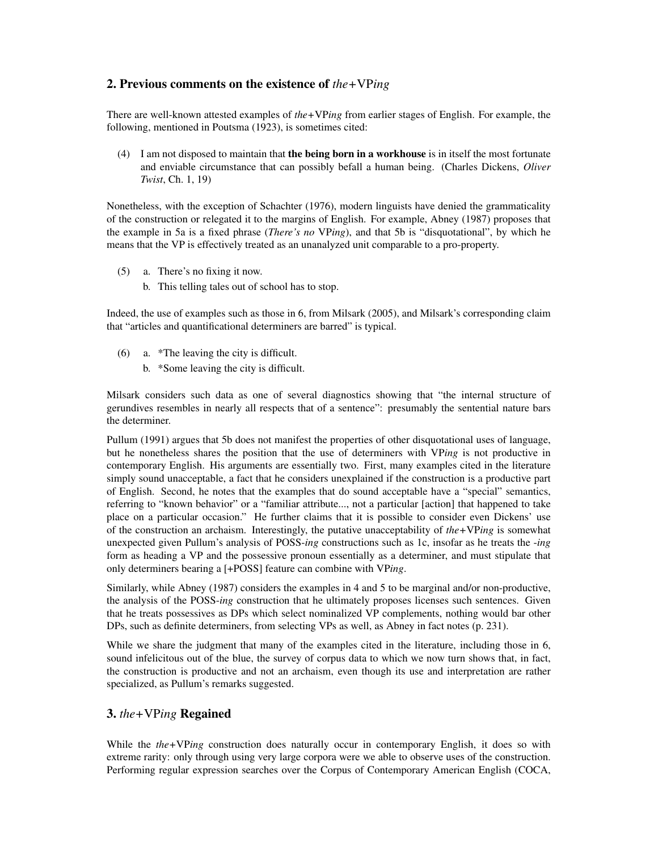## 2. Previous comments on the existence of *the+*VP*ing*

There are well-known attested examples of *the+*VP*ing* from earlier stages of English. For example, the following, mentioned in [Poutsma](#page-8-4) [\(1923\)](#page-8-4), is sometimes cited:

<span id="page-1-3"></span>(4) I am not disposed to maintain that the being born in a workhouse is in itself the most fortunate and enviable circumstance that can possibly befall a human being. (Charles Dickens, *Oliver Twist*, Ch. 1, 19)

Nonetheless, with the exception of [Schachter](#page-8-0) [\(1976\)](#page-8-0), modern linguists have denied the grammaticality of the construction or relegated it to the margins of English. For example, [Abney](#page-7-3) [\(1987\)](#page-7-3) proposes that the example in [5a](#page-1-0) is a fixed phrase (*There's no* VP*ing*), and that [5b](#page-1-1) is "disquotational", by which he means that the VP is effectively treated as an unanalyzed unit comparable to a pro-property.

- <span id="page-1-1"></span><span id="page-1-0"></span>(5) a. There's no fixing it now.
	- b. This telling tales out of school has to stop.

Indeed, the use of examples such as those in [6,](#page-1-2) from [Milsark](#page-8-3) [\(2005\)](#page-8-3), and Milsark's corresponding claim that "articles and quantificational determiners are barred" is typical.

- <span id="page-1-2"></span>(6) a. \*The leaving the city is difficult.
	- b. \*Some leaving the city is difficult.

Milsark considers such data as one of several diagnostics showing that "the internal structure of gerundives resembles in nearly all respects that of a sentence": presumably the sentential nature bars the determiner.

[Pullum](#page-8-2) [\(1991\)](#page-8-2) argues that [5b](#page-1-1) does not manifest the properties of other disquotational uses of language, but he nonetheless shares the position that the use of determiners with VP*ing* is not productive in contemporary English. His arguments are essentially two. First, many examples cited in the literature simply sound unacceptable, a fact that he considers unexplained if the construction is a productive part of English. Second, he notes that the examples that do sound acceptable have a "special" semantics, referring to "known behavior" or a "familiar attribute..., not a particular [action] that happened to take place on a particular occasion." He further claims that it is possible to consider even Dickens' use of the construction an archaism. Interestingly, the putative unacceptability of *the+*VP*ing* is somewhat unexpected given Pullum's analysis of POSS-*ing* constructions such as [1c,](#page-0-4) insofar as he treats the -*ing* form as heading a VP and the possessive pronoun essentially as a determiner, and must stipulate that only determiners bearing a [+POSS] feature can combine with VP*ing*.

Similarly, while [Abney](#page-7-3) [\(1987\)](#page-7-3) considers the examples in [4](#page-1-3) and [5](#page-1-0) to be marginal and/or non-productive, the analysis of the POSS-*ing* construction that he ultimately proposes licenses such sentences. Given that he treats possessives as DPs which select nominalized VP complements, nothing would bar other DPs, such as definite determiners, from selecting VPs as well, as Abney in fact notes (p. 231).

While we share the judgment that many of the examples cited in the literature, including those in [6,](#page-1-2) sound infelicitous out of the blue, the survey of corpus data to which we now turn shows that, in fact, the construction is productive and not an archaism, even though its use and interpretation are rather specialized, as Pullum's remarks suggested.

#### <span id="page-1-4"></span>3. *the+*VP*ing* Regained

While the *the+*VP*ing* construction does naturally occur in contemporary English, it does so with extreme rarity: only through using very large corpora were we able to observe uses of the construction. Performing regular expression searches over the Corpus of Contemporary American English (COCA,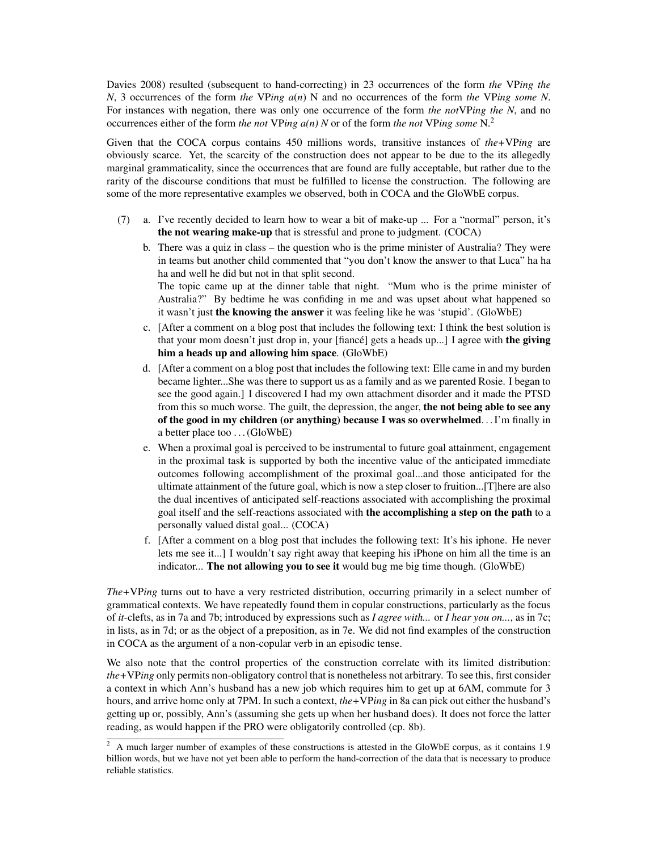[Davies 2008\)](#page-7-4) resulted (subsequent to hand-correcting) in 23 occurrences of the form *the* VP*ing the N*, 3 occurrences of the form *the* VP*ing a*(*n*) N and no occurrences of the form *the* VP*ing some N*. For instances with negation, there was only one occurrence of the form *the not*VP*ing the N*, and no occurrences either of the form *the not* VP*ing a(n) N* or of the form *the not* VP*ing some* N.[2](#page-2-0)

Given that the COCA corpus contains 450 millions words, transitive instances of *the+*VP*ing* are obviously scarce. Yet, the scarcity of the construction does not appear to be due to the its allegedly marginal grammaticality, since the occurrences that are found are fully acceptable, but rather due to the rarity of the discourse conditions that must be fulfilled to license the construction. The following are some of the more representative examples we observed, both in COCA and the GloWbE corpus.

- <span id="page-2-4"></span><span id="page-2-3"></span><span id="page-2-2"></span><span id="page-2-1"></span>(7) a. I've recently decided to learn how to wear a bit of make-up ... For a "normal" person, it's the not wearing make-up that is stressful and prone to judgment. (COCA)
	- b. There was a quiz in class the question who is the prime minister of Australia? They were in teams but another child commented that "you don't know the answer to that Luca" ha ha ha and well he did but not in that split second. The topic came up at the dinner table that night. "Mum who is the prime minister of Australia?" By bedtime he was confiding in me and was upset about what happened so it wasn't just the knowing the answer it was feeling like he was 'stupid'. (GloWbE)
	- c. [After a comment on a blog post that includes the following text: I think the best solution is that your mom doesn't just drop in, your [fiance] gets a heads up...] I agree with the giving him a heads up and allowing him space. (GloWbE)
	- d. [After a comment on a blog post that includes the following text: Elle came in and my burden became lighter...She was there to support us as a family and as we parented Rosie. I began to see the good again.] I discovered I had my own attachment disorder and it made the PTSD from this so much worse. The guilt, the depression, the anger, the not being able to see any of the good in my children (or anything) because I was so overwhelmed. . . I'm finally in a better place too . . . (GloWbE)
	- e. When a proximal goal is perceived to be instrumental to future goal attainment, engagement in the proximal task is supported by both the incentive value of the anticipated immediate outcomes following accomplishment of the proximal goal...and those anticipated for the ultimate attainment of the future goal, which is now a step closer to fruition...[T]here are also the dual incentives of anticipated self-reactions associated with accomplishing the proximal goal itself and the self-reactions associated with the accomplishing a step on the path to a personally valued distal goal... (COCA)
	- f. [After a comment on a blog post that includes the following text: It's his iphone. He never lets me see it...] I wouldn't say right away that keeping his iPhone on him all the time is an indicator... The not allowing you to see it would bug me big time though. (GloWbE)

<span id="page-2-6"></span><span id="page-2-5"></span>*The+*VP*ing* turns out to have a very restricted distribution, occurring primarily in a select number of grammatical contexts. We have repeatedly found them in copular constructions, particularly as the focus of *it*-clefts, as in [7a](#page-2-1) and [7b;](#page-2-2) introduced by expressions such as *I agree with...* or *I hear you on...*, as in [7c;](#page-2-3) in lists, as in [7d;](#page-2-4) or as the object of a preposition, as in [7e.](#page-2-5) We did not find examples of the construction in COCA as the argument of a non-copular verb in an episodic tense.

We also note that the control properties of the construction correlate with its limited distribution: *the+*VP*ing* only permits non-obligatory control that is nonetheless not arbitrary. To see this, first consider a context in which Ann's husband has a new job which requires him to get up at 6AM, commute for 3 hours, and arrive home only at 7PM. In such a context, *the+*VP*ing* in [8a](#page-3-0) can pick out either the husband's getting up or, possibly, Ann's (assuming she gets up when her husband does). It does not force the latter reading, as would happen if the PRO were obligatorily controlled (cp. [8b\)](#page-3-1).

<span id="page-2-0"></span><sup>&</sup>lt;sup>2</sup> A much larger number of examples of these constructions is attested in the GloWbE corpus, as it contains 1.9 billion words, but we have not yet been able to perform the hand-correction of the data that is necessary to produce reliable statistics.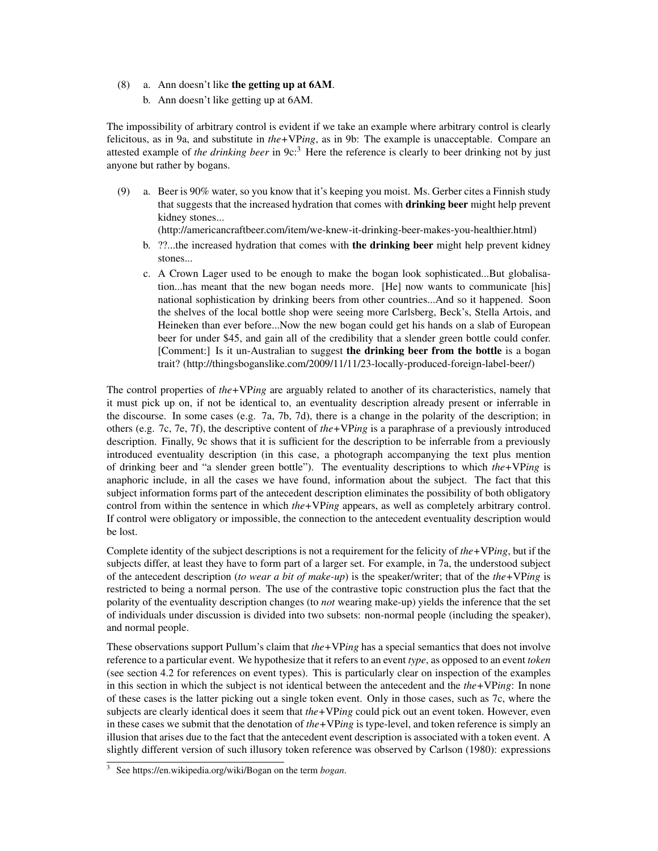#### <span id="page-3-1"></span><span id="page-3-0"></span>(8) a. Ann doesn't like the getting up at 6AM.

b. Ann doesn't like getting up at 6AM.

The impossibility of arbitrary control is evident if we take an example where arbitrary control is clearly felicitous, as in [9a,](#page-3-2) and substitute in *the+*VP*ing*, as in [9b:](#page-3-3) The example is unacceptable. Compare an attested example of *the drinking beer* in [9c:](#page-3-4)[3](#page-3-5) Here the reference is clearly to beer drinking not by just anyone but rather by bogans.

- <span id="page-3-4"></span><span id="page-3-3"></span><span id="page-3-2"></span>(9) a. Beer is 90% water, so you know that it's keeping you moist. Ms. Gerber cites a Finnish study that suggests that the increased hydration that comes with **drinking beer** might help prevent kidney stones...
	- (http://americancraftbeer.com/item/we-knew-it-drinking-beer-makes-you-healthier.html)
	- b. ??...the increased hydration that comes with the drinking beer might help prevent kidney stones...
	- c. A Crown Lager used to be enough to make the bogan look sophisticated...But globalisation...has meant that the new bogan needs more. [He] now wants to communicate [his] national sophistication by drinking beers from other countries...And so it happened. Soon the shelves of the local bottle shop were seeing more Carlsberg, Beck's, Stella Artois, and Heineken than ever before...Now the new bogan could get his hands on a slab of European beer for under \$45, and gain all of the credibility that a slender green bottle could confer. [Comment:] Is it un-Australian to suggest the drinking beer from the bottle is a bogan trait? (http://thingsboganslike.com/2009/11/11/23-locally-produced-foreign-label-beer/)

The control properties of *the+*VP*ing* are arguably related to another of its characteristics, namely that it must pick up on, if not be identical to, an eventuality description already present or inferrable in the discourse. In some cases (e.g. [7a,](#page-2-1) [7b,](#page-2-2) [7d\)](#page-2-4), there is a change in the polarity of the description; in others (e.g. [7c,](#page-2-3) [7e,](#page-2-5) [7f\)](#page-2-6), the descriptive content of *the+*VP*ing* is a paraphrase of a previously introduced description. Finally, [9c](#page-3-4) shows that it is sufficient for the description to be inferrable from a previously introduced eventuality description (in this case, a photograph accompanying the text plus mention of drinking beer and "a slender green bottle"). The eventuality descriptions to which *the+*VP*ing* is anaphoric include, in all the cases we have found, information about the subject. The fact that this subject information forms part of the antecedent description eliminates the possibility of both obligatory control from within the sentence in which *the+*VP*ing* appears, as well as completely arbitrary control. If control were obligatory or impossible, the connection to the antecedent eventuality description would be lost.

Complete identity of the subject descriptions is not a requirement for the felicity of *the+*VP*ing*, but if the subjects differ, at least they have to form part of a larger set. For example, in [7a,](#page-2-1) the understood subject of the antecedent description (*to wear a bit of make-up*) is the speaker/writer; that of the *the+*VP*ing* is restricted to being a normal person. The use of the contrastive topic construction plus the fact that the polarity of the eventuality description changes (to *not* wearing make-up) yields the inference that the set of individuals under discussion is divided into two subsets: non-normal people (including the speaker), and normal people.

These observations support Pullum's claim that *the+*VP*ing* has a special semantics that does not involve reference to a particular event. We hypothesize that it refers to an event *type*, as opposed to an event *token* (see section [4.2](#page-5-0) for references on event types). This is particularly clear on inspection of the examples in this section in which the subject is not identical between the antecedent and the *the+*VP*ing*: In none of these cases is the latter picking out a single token event. Only in those cases, such as [7c,](#page-2-3) where the subjects are clearly identical does it seem that *the+*VP*ing* could pick out an event token. However, even in these cases we submit that the denotation of *the+*VP*ing* is type-level, and token reference is simply an illusion that arises due to the fact that the antecedent event description is associated with a token event. A slightly different version of such illusory token reference was observed by [Carlson](#page-7-5) [\(1980\)](#page-7-5): expressions

<span id="page-3-5"></span><sup>3</sup> See https://en.wikipedia.org/wiki/Bogan on the term *bogan*.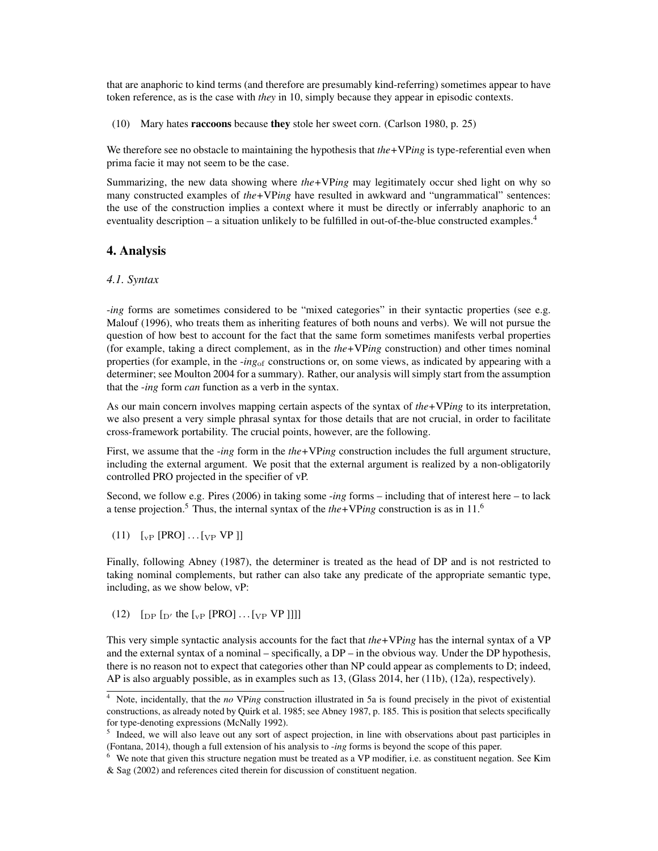that are anaphoric to kind terms (and therefore are presumably kind-referring) sometimes appear to have token reference, as is the case with *they* in [10,](#page-4-0) simply because they appear in episodic contexts.

<span id="page-4-0"></span>(10) Mary hates raccoons because they stole her sweet corn. [\(Carlson 1980,](#page-7-5) p. 25)

We therefore see no obstacle to maintaining the hypothesis that *the*+VP*ing* is type-referential even when prima facie it may not seem to be the case.

Summarizing, the new data showing where *the+*VP*ing* may legitimately occur shed light on why so many constructed examples of *the*+VP*ing* have resulted in awkward and "ungrammatical" sentences: the use of the construction implies a context where it must be directly or inferrably anaphoric to an eventuality description – a situation unlikely to be fulfilled in out-of-the-blue constructed examples.<sup>4</sup>

#### 4. Analysis

#### *4.1. Syntax*

-*ing* forms are sometimes considered to be "mixed categories" in their syntactic properties (see e.g. [Malouf](#page-8-5) [\(1996\)](#page-8-5), who treats them as inheriting features of both nouns and verbs). We will not pursue the question of how best to account for the fact that the same form sometimes manifests verbal properties (for example, taking a direct complement, as in the *the+*VP*ing* construction) and other times nominal properties (for example, in the -*ing*of constructions or, on some views, as indicated by appearing with a determiner; see [Moulton 2004](#page-8-6) for a summary). Rather, our analysis will simply start from the assumption that the -*ing* form *can* function as a verb in the syntax.

As our main concern involves mapping certain aspects of the syntax of *the+*VP*ing* to its interpretation, we also present a very simple phrasal syntax for those details that are not crucial, in order to facilitate cross-framework portability. The crucial points, however, are the following.

First, we assume that the -*ing* form in the *the+*VP*ing* construction includes the full argument structure, including the external argument. We posit that the external argument is realized by a non-obligatorily controlled PRO projected in the specifier of vP.

Second, we follow e.g. [Pires](#page-8-7) [\(2006\)](#page-8-7) in taking some -*ing* forms – including that of interest here – to lack a tense projection.<sup>[5](#page-4-2)</sup> Thus, the internal syntax of the  $the+VPing$  construction is as in [11.](#page-4-3)<sup>[6](#page-4-4)</sup>

<span id="page-4-3"></span> $(11)$   $\left[\text{vP} [\text{PRO}] \dots \text{vP} [\text{VP}] \right]$ 

Finally, following [Abney](#page-7-3) [\(1987\)](#page-7-3), the determiner is treated as the head of DP and is not restricted to taking nominal complements, but rather can also take any predicate of the appropriate semantic type, including, as we show below, vP:

(12)  $\left[\text{DP}\left[\text{D}'\right] \text{ the }\left[\text{VP}\left[\text{PRO}\right] \dots \left[\text{VP}\left[\text{VP}\right]\right]\right]\right] \right]$ 

This very simple syntactic analysis accounts for the fact that *the+*VP*ing* has the internal syntax of a VP and the external syntax of a nominal – specifically, a DP – in the obvious way. Under the DP hypothesis, there is no reason not to expect that categories other than NP could appear as complements to D; indeed, AP is also arguably possible, as in examples such as [13,](#page-5-1) [\(Glass 2014,](#page-7-6) her (11b), (12a), respectively).

<span id="page-4-1"></span><sup>4</sup> Note, incidentally, that the *no* VP*ing* construction illustrated in [5a](#page-1-0) is found precisely in the pivot of existential constructions, as already noted by [Quirk et al. 1985;](#page-8-8) see [Abney 1987,](#page-7-3) p. 185. This is position that selects specifically for type-denoting expressions [\(McNally 1992\)](#page-8-9).

<span id="page-4-2"></span> $<sup>5</sup>$  Indeed, we will also leave out any sort of aspect projection, in line with observations about past participles in</sup> [\(Fontana, 2014\)](#page-7-7), though a full extension of his analysis to -*ing* forms is beyond the scope of this paper.

<span id="page-4-4"></span><sup>6</sup> We note that given this structure negation must be treated as a VP modifier, i.e. as constituent negation. See [Kim](#page-8-10) [& Sag](#page-8-10) [\(2002\)](#page-8-10) and references cited therein for discussion of constituent negation.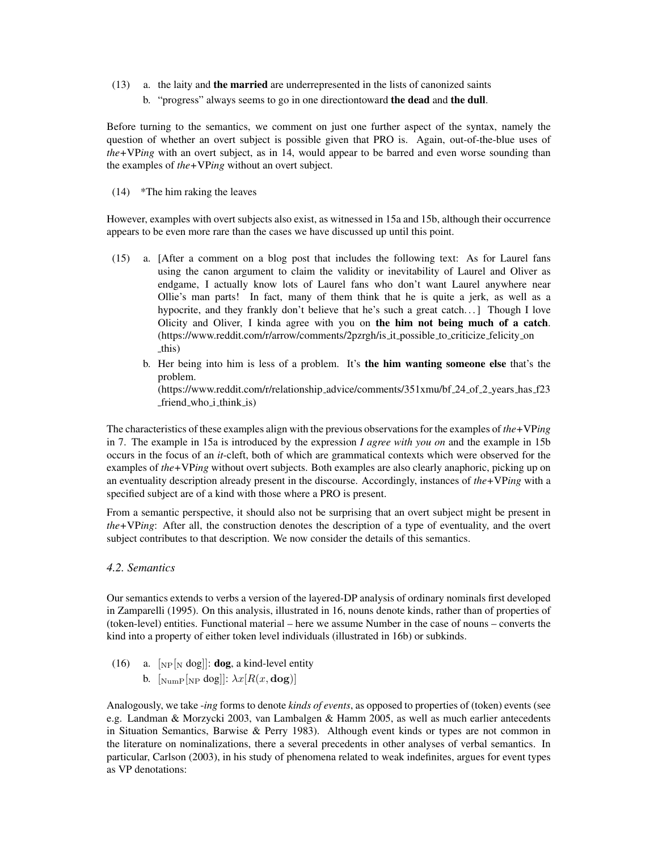- <span id="page-5-1"></span>(13) a. the laity and the married are underrepresented in the lists of canonized saints
	- b. "progress" always seems to go in one directiontoward the dead and the dull.

Before turning to the semantics, we comment on just one further aspect of the syntax, namely the question of whether an overt subject is possible given that PRO is. Again, out-of-the-blue uses of *the+*VP*ing* with an overt subject, as in [14,](#page-5-2) would appear to be barred and even worse sounding than the examples of *the+*VP*ing* without an overt subject.

<span id="page-5-2"></span>(14) \*The him raking the leaves

However, examples with overt subjects also exist, as witnessed in [15a](#page-5-3) and [15b,](#page-5-4) although their occurrence appears to be even more rare than the cases we have discussed up until this point.

- <span id="page-5-3"></span>(15) a. [After a comment on a blog post that includes the following text: As for Laurel fans using the canon argument to claim the validity or inevitability of Laurel and Oliver as endgame, I actually know lots of Laurel fans who don't want Laurel anywhere near Ollie's man parts! In fact, many of them think that he is quite a jerk, as well as a hypocrite, and they frankly don't believe that he's such a great catch... ] Though I love Olicity and Oliver, I kinda agree with you on the him not being much of a catch. (https://www.reddit.com/r/arrow/comments/2pzrgh/is it possible to criticize felicity on this)
	- b. Her being into him is less of a problem. It's the him wanting someone else that's the problem. (https://www.reddit.com/r/relationship\_advice/comments/351xmu/bf\_24\_of\_2\_years\_has\_f23 friend who i think is)

<span id="page-5-4"></span>The characteristics of these examples align with the previous observations for the examples of *the+*VP*ing* in [7.](#page-2-1) The example in [15a](#page-5-3) is introduced by the expression *I agree with you on* and the example in [15b](#page-5-4) occurs in the focus of an *it*-cleft, both of which are grammatical contexts which were observed for the examples of *the+*VP*ing* without overt subjects. Both examples are also clearly anaphoric, picking up on an eventuality description already present in the discourse. Accordingly, instances of *the+*VP*ing* with a specified subject are of a kind with those where a PRO is present.

From a semantic perspective, it should also not be surprising that an overt subject might be present in *the+*VP*ing*: After all, the construction denotes the description of a type of eventuality, and the overt subject contributes to that description. We now consider the details of this semantics.

#### <span id="page-5-0"></span>*4.2. Semantics*

Our semantics extends to verbs a version of the layered-DP analysis of ordinary nominals first developed in [Zamparelli](#page-8-1) [\(1995\)](#page-8-1). On this analysis, illustrated in [16,](#page-5-5) nouns denote kinds, rather than of properties of (token-level) entities. Functional material – here we assume Number in the case of nouns – converts the kind into a property of either token level individuals (illustrated in [16b\)](#page-5-6) or subkinds.

- <span id="page-5-6"></span><span id="page-5-5"></span>(16) a.  $\lceil N_P \rceil_N \text{dog} \rceil$ : **dog**, a kind-level entity
	- b.  $\left[\text{Number} \left[\text{NP} \text{dog}\right]\right]$ :  $\lambda x[R(x, \text{dog})]$

Analogously, we take -*ing* forms to denote *kinds of events*, as opposed to properties of (token) events (see e.g. [Landman & Morzycki 2003,](#page-8-11) [van Lambalgen & Hamm 2005,](#page-8-12) as well as much earlier antecedents in Situation Semantics, [Barwise & Perry 1983\)](#page-7-8). Although event kinds or types are not common in the literature on nominalizations, there a several precedents in other analyses of verbal semantics. In particular, [Carlson](#page-7-9) [\(2003\)](#page-7-9), in his study of phenomena related to weak indefinites, argues for event types as VP denotations: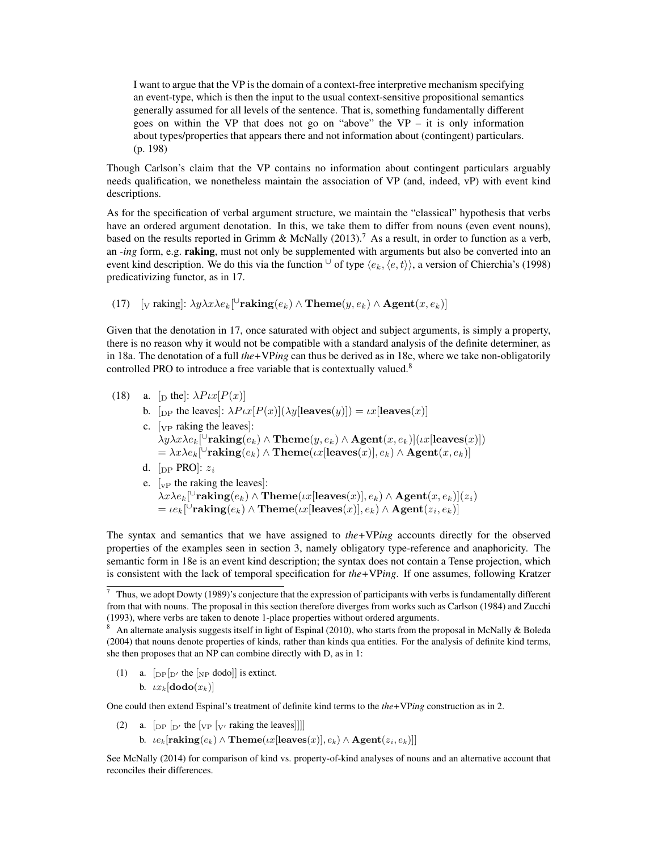I want to argue that the VP is the domain of a context-free interpretive mechanism specifying an event-type, which is then the input to the usual context-sensitive propositional semantics generally assumed for all levels of the sentence. That is, something fundamentally different goes on within the VP that does not go on "above" the VP – it is only information about types/properties that appears there and not information about (contingent) particulars. (p. 198)

Though Carlson's claim that the VP contains no information about contingent particulars arguably needs qualification, we nonetheless maintain the association of VP (and, indeed, vP) with event kind descriptions.

As for the specification of verbal argument structure, we maintain the "classical" hypothesis that verbs have an ordered argument denotation. In this, we take them to differ from nouns (even event nouns), based on the results reported in [Grimm & McNally](#page-8-13) [\(2013\)](#page-8-13).<sup>[7](#page-6-0)</sup> As a result, in order to function as a verb, an *-ing* form, e.g. raking, must not only be supplemented with arguments but also be converted into an event kind description. We do this via the function  $\cup$  of type  $\langle e_k, \langle e, t \rangle$ , a version of [Chierchia'](#page-7-10)s [\(1998\)](#page-7-10) predicativizing functor, as in [17.](#page-6-1)

<span id="page-6-1"></span>(17)  $\left[ \text{v taking} : \lambda y \lambda x \lambda e_k \right] \text{``raking}(e_k) \wedge \text{'} \text{Heme}(y, e_k) \wedge \text{Agent}(x, e_k) \text{''} \right]$ 

Given that the denotation in [17,](#page-6-1) once saturated with object and subject arguments, is simply a property, there is no reason why it would not be compatible with a standard analysis of the definite determiner, as in [18a.](#page-6-2) The denotation of a full *the+*VP*ing* can thus be derived as in [18e,](#page-6-3) where we take non-obligatorily controlled PRO to introduce a free variable that is contextually valued[.8](#page-6-4)

- <span id="page-6-2"></span>(18) a. [D the]:  $\lambda P \iota x [P(x)]$ 
	- b. [DP the leaves]:  $\lambda P \iota x [P(x)](\lambda y[\text{leaves}(y)]) = \iota x[\text{leaves}(x)]$ c.  $[\text{VP}$  raking the leaves]:
		- $\lambda y \lambda x \lambda e_k$  [ $\cup$ **raking** $(e_k) \wedge$ **Theme** $(y, e_k) \wedge$ **Agent** $(x, e_k)$ ]( $\lambda x$ [leaves(*x*)])  $= \lambda x \lambda e_k$ <sup>[U</sup>raking $(e_k) \wedge$ Theme $(\iota x$ [leaves $(x)$ ]*,*  $e_k) \wedge$  **Agent** $(x, e_k)$ ]
		- d.  $[pPRO]: z_i$
		- e.  $\lceil v \rceil$  the raking the leaves]:  $\lambda x \lambda e_k$  [ $\cup$ **raking** $(e_k) \wedge$ **Theme** $(\iota x$ [leaves $(x)$ ]*,e<sub>k</sub>*)  $\wedge$ **Agent** $(x, e_k)$ ](*z*<sup>*i*</sup>)  $= \iota e_k[\text{``raking}(e_k) \wedge \text{Then}( \iota x[\text{leaves}(x)], e_k) \wedge \text{Agent}(z_i, e_k)]$

<span id="page-6-3"></span>The syntax and semantics that we have assigned to *the+*VP*ing* accounts directly for the observed properties of the examples seen in section [3,](#page-1-4) namely obligatory type-reference and anaphoricity. The semantic form in [18e](#page-6-3) is an event kind description; the syntax does not contain a Tense projection, which is consistent with the lack of temporal specification for *the+*VP*ing*. If one assumes, following [Kratzer](#page-8-14)

<span id="page-6-5"></span>(1) a.  $[_{DP}|_{D'}$  the  $[_{NP}$  dodo]] is extinct.

b.  $\iota x_k$  [dodo( $x_k$ )]

One could then extend Espinal's treatment of definite kind terms to the *the+*VP*ing* construction as in [2.](#page-6-6)

- <span id="page-6-6"></span>(2) a.  $\left[$  DP  $\left[$  D' the  $\left[$  VP  $\left[$  V' raking the leaves]]]]
	- b.  $ie_k$ [raking $(e_k) \wedge$ Theme $(x$ [leaves $(x)$ ],  $e_k$  $\wedge$ Agent $(z_i, e_k)$ ]]

See [McNally](#page-8-17) [\(2014\)](#page-8-17) for comparison of kind vs. property-of-kind analyses of nouns and an alternative account that reconciles their differences.

<span id="page-6-0"></span> $7$  Thus, we adopt [Dowty](#page-7-11) [\(1989\)](#page-7-11)'s conjecture that the expression of participants with verbs is fundamentally different from that with nouns. The proposal in this section therefore diverges from works such as [Carlson](#page-7-12) [\(1984\)](#page-7-12) and [Zucchi](#page-8-15) [\(1993\)](#page-8-15), where verbs are taken to denote 1-place properties without ordered arguments.

<span id="page-6-4"></span><sup>&</sup>lt;sup>8</sup> An alternate analysis suggests itself in light of [Espinal](#page-7-13) [\(2010\)](#page-7-13), who starts from the proposal in [McNally & Boleda](#page-8-16) [\(2004\)](#page-8-16) that nouns denote properties of kinds, rather than kinds qua entities. For the analysis of definite kind terms, she then proposes that an NP can combine directly with D, as in [1:](#page-6-5)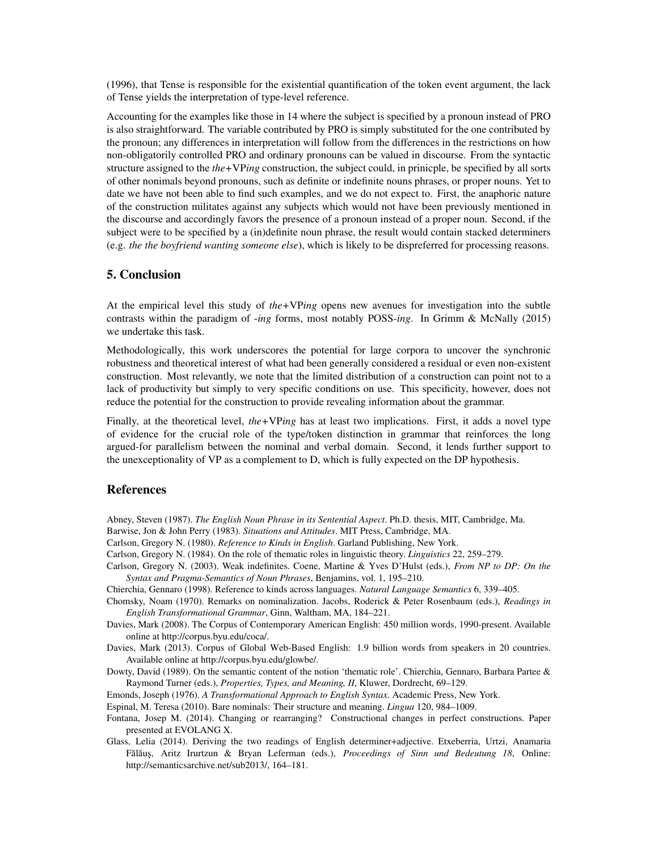[\(1996\)](#page-8-14), that Tense is responsible for the existential quantification of the token event argument, the lack of Tense yields the interpretation of type-level reference.

Accounting for the examples like those in [14](#page-5-2) where the subject is specified by a pronoun instead of PRO is also straightforward. The variable contributed by PRO is simply substituted for the one contributed by the pronoun; any differences in interpretation will follow from the differences in the restrictions on how non-obligatorily controlled PRO and ordinary pronouns can be valued in discourse. From the syntactic structure assigned to the *the+*VP*ing* construction, the subject could, in prinicple, be specified by all sorts of other nonimals beyond pronouns, such as definite or indefinite nouns phrases, or proper nouns. Yet to date we have not been able to find such examples, and we do not expect to. First, the anaphoric nature of the construction militates against any subjects which would not have been previously mentioned in the discourse and accordingly favors the presence of a pronoun instead of a proper noun. Second, if the subject were to be specified by a (in)definite noun phrase, the result would contain stacked determiners (e.g. *the the boyfriend wanting someone else*), which is likely to be dispreferred for processing reasons.

#### 5. Conclusion

At the empirical level this study of *the+*VP*ing* opens new avenues for investigation into the subtle contrasts within the paradigm of -*ing* forms, most notably POSS-*ing*. In [Grimm & McNally](#page-8-18) [\(2015\)](#page-8-18) we undertake this task.

Methodologically, this work underscores the potential for large corpora to uncover the synchronic robustness and theoretical interest of what had been generally considered a residual or even non-existent construction. Most relevantly, we note that the limited distribution of a construction can point not to a lack of productivity but simply to very specific conditions on use. This specificity, however, does not reduce the potential for the construction to provide revealing information about the grammar.

Finally, at the theoretical level, *the+*VP*ing* has at least two implications. First, it adds a novel type of evidence for the crucial role of the type/token distinction in grammar that reinforces the long argued-for parallelism between the nominal and verbal domain. Second, it lends further support to the unexceptionality of VP as a complement to D, which is fully expected on the DP hypothesis.

### References

- <span id="page-7-3"></span>Abney, Steven (1987). *The English Noun Phrase in its Sentential Aspect*. Ph.D. thesis, MIT, Cambridge, Ma.
- <span id="page-7-8"></span>Barwise, Jon & John Perry (1983). *Situations and Attitudes*. MIT Press, Cambridge, MA.
- <span id="page-7-5"></span>Carlson, Gregory N. (1980). *Reference to Kinds in English*. Garland Publishing, New York.
- <span id="page-7-12"></span>Carlson, Gregory N. (1984). On the role of thematic roles in linguistic theory. *Linguistics* 22, 259–279.
- <span id="page-7-9"></span>Carlson, Gregory N. (2003). Weak indefinites. Coene, Martine & Yves D'Hulst (eds.), *From NP to DP: On the Syntax and Pragma-Semantics of Noun Phrases*, Benjamins, vol. 1, 195–210.
- <span id="page-7-10"></span><span id="page-7-0"></span>Chierchia, Gennaro (1998). Reference to kinds across languages. *Natural Language Semantics* 6, 339–405.
- Chomsky, Noam (1970). Remarks on nominalization. Jacobs, Roderick & Peter Rosenbaum (eds.), *Readings in English Transformational Grammar*, Ginn, Waltham, MA, 184–221.
- <span id="page-7-4"></span>Davies, Mark (2008). The Corpus of Contemporary American English: 450 million words, 1990-present. Available online at http://corpus.byu.edu/coca/.
- <span id="page-7-2"></span>Davies, Mark (2013). Corpus of Global Web-Based English: 1.9 billion words from speakers in 20 countries. Available online at http://corpus.byu.edu/glowbe/.
- <span id="page-7-11"></span>Dowty, David (1989). On the semantic content of the notion 'thematic role'. Chierchia, Gennaro, Barbara Partee & Raymond Turner (eds.), *Properties, Types, and Meaning, II*, Kluwer, Dordrecht, 69–129.
- <span id="page-7-1"></span>Emonds, Joseph (1976). *A Transformational Approach to English Syntax*. Academic Press, New York.
- <span id="page-7-13"></span>Espinal, M. Teresa (2010). Bare nominals: Their structure and meaning. *Lingua* 120, 984–1009.
- <span id="page-7-7"></span>Fontana, Josep M. (2014). Changing or rearranging? Constructional changes in perfect constructions. Paper presented at EVOLANG X.
- <span id="page-7-6"></span>Glass, Lelia (2014). Deriving the two readings of English determiner+adjective. Etxeberria, Urtzi, Anamaria Fălăuș, Aritz Irurtzun & Bryan Leferman (eds.), Proceedings of Sinn und Bedeutung 18, Online: http://semanticsarchive.net/sub2013/, 164–181.